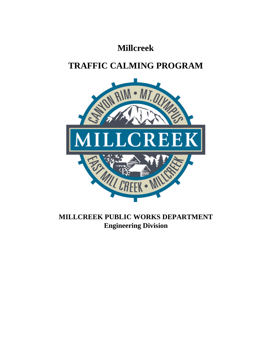## **Millcreek**

# **TRAFFIC CALMING PROGRAM**



### **MILLCREEK PUBLIC WORKS DEPARTMENT Engineering Division**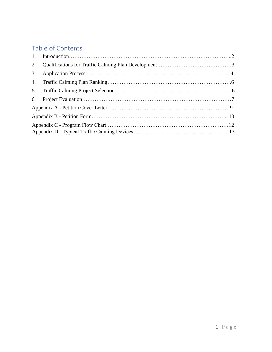## Table of Contents

| 2. |  |  |  |  |  |  |
|----|--|--|--|--|--|--|
|    |  |  |  |  |  |  |
|    |  |  |  |  |  |  |
|    |  |  |  |  |  |  |
|    |  |  |  |  |  |  |
|    |  |  |  |  |  |  |
|    |  |  |  |  |  |  |
|    |  |  |  |  |  |  |
|    |  |  |  |  |  |  |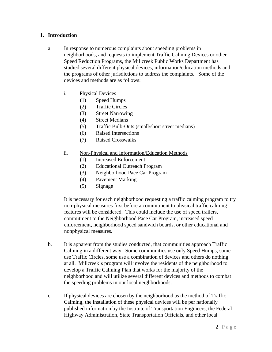#### <span id="page-2-0"></span>**1. Introduction**

- a. In response to numerous complaints about speeding problems in neighborhoods, and requests to implement Traffic Calming Devices or other Speed Reduction Programs, the Millcreek Public Works Department has studied several different physical devices, information/education methods and the programs of other jurisdictions to address the complaints. Some of the devices and methods are as follows:
	- i. Physical Devices
		- (1) Speed Humps
		- (2) Traffic Circles
		- (3) Street Narrowing
		- (4) Street Medians
		- (5) Traffic Bulb-Outs (small/short street medians)
		- (6) Raised Intersections
		- (7) Raised Crosswalks
	- ii. Non-Physical and Information/Education Methods
		- (1) Increased Enforcement
		- (2) Educational Outreach Program
		- (3) Neighborhood Pace Car Program
		- (4) Pavement Marking
		- (5) Signage

It is necessary for each neighborhood requesting a traffic calming program to try non-physical measures first before a commitment to physical traffic calming features will be considered. This could include the use of speed trailers, commitment to the Neighborhood Pace Car Program, increased speed enforcement, neighborhood speed sandwich boards, or other educational and nonphysical measures.

- b. It is apparent from the studies conducted, that communities approach Traffic Calming in a different way. Some communities use only Speed Humps, some use Traffic Circles, some use a combination of devices and others do nothing at all. Millcreek's program will involve the residents of the neighborhood to develop a Traffic Calming Plan that works for the majority of the neighborhood and will utilize several different devices and methods to combat the speeding problems in our local neighborhoods.
- c. If physical devices are chosen by the neighborhood as the method of Traffic Calming, the installation of these physical devices will be per nationally published information by the Institute of Transportation Engineers, the Federal Highway Administration, State Transportation Officials, and other local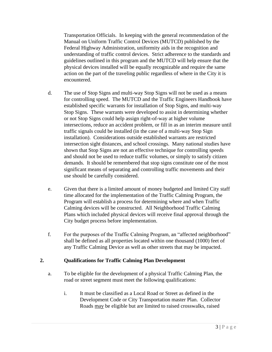Transportation Officials. In keeping with the general recommendation of the Manual on Uniform Traffic Control Devices (MUTCD) published by the Federal Highway Administration, uniformity aids in the recognition and understanding of traffic control devices. Strict adherence to the standards and guidelines outlined in this program and the MUTCD will help ensure that the physical devices installed will be equally recognizable and require the same action on the part of the traveling public regardless of where in the City it is encountered.

- d. The use of Stop Signs and multi-way Stop Signs will not be used as a means for controlling speed. The MUTCD and the Traffic Engineers Handbook have established specific warrants for installation of Stop Signs, and multi-way Stop Signs. These warrants were developed to assist in determining whether or not Stop Signs could help assign right-of-way at higher volume intersections, reduce an accident problem, or fill in as an interim measure until traffic signals could be installed (in the case of a multi-way Stop Sign installation). Considerations outside established warrants are restricted intersection sight distances, and school crossings. Many national studies have shown that Stop Signs are not an effective technique for controlling speeds and should not be used to reduce traffic volumes, or simply to satisfy citizen demands. It should be remembered that stop signs constitute one of the most significant means of separating and controlling traffic movements and their use should be carefully considered.
- e. Given that there is a limited amount of money budgeted and limited City staff time allocated for the implementation of the Traffic Calming Program, the Program will establish a process for determining where and when Traffic Calming devices will be constructed. All Neighborhood Traffic Calming Plans which included physical devices will receive final approval through the City budget process before implementation.
- f. For the purposes of the Traffic Calming Program, an "affected neighborhood" shall be defined as all properties located within one thousand (1000) feet of any Traffic Calming Device as well as other streets that may be impacted.

#### **2. Qualifications for Traffic Calming Plan Development**

- <span id="page-3-0"></span>a. To be eligible for the development of a physical Traffic Calming Plan, the road or street segment must meet the following qualifications:
	- i. It must be classified as a Local Road or Street as defined in the Development Code or City Transportation master Plan. Collector Roads may be eligible but are limited to raised crosswalks, raised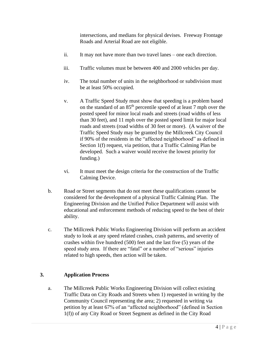intersections, and medians for physical devises. Freeway Frontage Roads and Arterial Road are not eligible.

- ii. It may not have more than two travel lanes one each direction.
- iii. Traffic volumes must be between 400 and 2000 vehicles per day.
- iv. The total number of units in the neighborhood or subdivision must be at least 50% occupied.
- v. A Traffic Speed Study must show that speeding is a problem based on the standard of an 85<sup>th</sup> percentile speed of at least 7 mph over the posted speed for minor local roads and streets (road widths of less than 30 feet), and 11 mph over the posted speed limit for major local roads and streets (road widths of 30 feet or more). (A waiver of the Traffic Speed Study may be granted by the Millcreek City Council if 90% of the residents in the "affected neighborhood" as defined in Section 1(f) request, via petition, that a Traffic Calming Plan be developed. Such a waiver would receive the lowest priority for funding.)
- vi. It must meet the design criteria for the construction of the Traffic Calming Device.
- b. Road or Street segments that do not meet these qualifications cannot be considered for the development of a physical Traffic Calming Plan. The Engineering Division and the Unified Police Department will assist with educational and enforcement methods of reducing speed to the best of their ability.
- c. The Millcreek Public Works Engineering Division will perform an accident study to look at any speed related crashes, crash patterns, and severity of crashes within five hundred (500) feet and the last five (5) years of the speed study area. If there are "fatal" or a number of "serious" injuries related to high speeds, then action will be taken.

#### **3. Application Process**

<span id="page-4-0"></span>a. The Millcreek Public Works Engineering Division will collect existing Traffic Data on City Roads and Streets when 1) requested in writing by the Community Council representing the area; 2) requested in writing via petition by at least 67% of an "affected neighborhood" (defined in Section 1(f)) of any City Road or Street Segment as defined in the City Road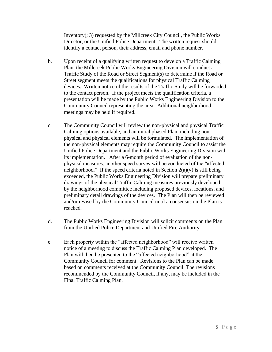Inventory); 3) requested by the Millcreek City Council, the Public Works Director, or the Unified Police Department. The written request should identify a contact person, their address, email and phone number.

- b. Upon receipt of a qualifying written request to develop a Traffic Calming Plan, the Millcreek Public Works Engineering Division will conduct a Traffic Study of the Road or Street Segment(s) to determine if the Road or Street segment meets the qualifications for physical Traffic Calming devices. Written notice of the results of the Traffic Study will be forwarded to the contact person. If the project meets the qualification criteria, a presentation will be made by the Public Works Engineering Division to the Community Council representing the area. Additional neighborhood meetings may be held if required.
- c. The Community Council will review the non-physical and physical Traffic Calming options available, and an initial phased Plan, including nonphysical and physical elements will be formulated. The implementation of the non-physical elements may require the Community Council to assist the Unified Police Department and the Public Works Engineering Division with its implementation. After a 6-month period of evaluation of the nonphysical measures, another speed survey will be conducted of the "affected neighborhood." If the speed criteria noted in Section  $2(a)(v)$  is still being exceeded, the Public Works Engineering Division will prepare preliminary drawings of the physical Traffic Calming measures previously developed by the neighborhood committee including proposed devices, locations, and preliminary detail drawings of the devices. The Plan will then be reviewed and/or revised by the Community Council until a consensus on the Plan is reached.
- d. The Public Works Engineering Division will solicit comments on the Plan from the Unified Police Department and Unified Fire Authority.
- e. Each property within the "affected neighborhood" will receive written notice of a meeting to discuss the Traffic Calming Plan developed. The Plan will then be presented to the "affected neighborhood" at the Community Council for comment. Revisions to the Plan can be made based on comments received at the Community Council. The revisions recommended by the Community Council, if any, may be included in the Final Traffic Calming Plan.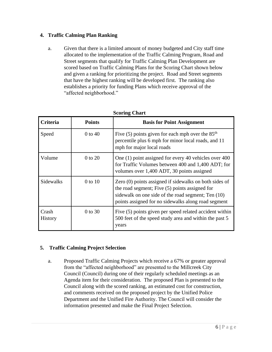#### <span id="page-6-0"></span>**4. Traffic Calming Plan Ranking**

a. Given that there is a limited amount of money budgeted and City staff time allocated to the implementation of the Traffic Calming Program, Road and Street segments that qualify for Traffic Calming Plan Development are scored based on Traffic Calming Plans for the Scoring Chart shown below and given a ranking for prioritizing the project. Road and Street segments that have the highest ranking will be developed first. The ranking also establishes a priority for funding Plans which receive approval of the "affected neighborhood."

| Criteria                | <b>Points</b> | <b>Basis for Point Assignment</b>                                                                                                                                                                                     |  |  |
|-------------------------|---------------|-----------------------------------------------------------------------------------------------------------------------------------------------------------------------------------------------------------------------|--|--|
| Speed                   | $0$ to $40$   | Five $(5)$ points given for each mph over the $85th$<br>percentile plus 6 mph for minor local roads, and 11<br>mph for major local roads                                                                              |  |  |
| Volume                  | 0 to 20       | One (1) point assigned for every 40 vehicles over 400<br>for Traffic Volumes between 400 and 1,400 ADT; for<br>volumes over 1,400 ADT, 30 points assigned                                                             |  |  |
| <b>Sidewalks</b>        | $0$ to $10$   | Zero (0) points assigned if sidewalks on both sides of<br>the road segment; Five (5) points assigned for<br>sidewalk on one side of the road segment; Ten (10)<br>points assigned for no sidewalks along road segment |  |  |
| Crash<br><b>History</b> | $0$ to 30     | Five (5) points given per speed related accident within<br>500 feet of the speed study area and within the past 5<br>years                                                                                            |  |  |

#### **Scoring Chart**

#### <span id="page-6-1"></span>**5. Traffic Calming Project Selection**

a. Proposed Traffic Calming Projects which receive a 67% or greater approval from the "affected neighborhood" are presented to the Millcreek City Council (Council) during one of their regularly scheduled meetings as an Agenda item for their consideration. The proposed Plan is presented to the Council along with the scored ranking, an estimated cost for construction, and comments received on the proposed project by the Unified Police Department and the Unified Fire Authority. The Council will consider the information presented and make the Final Project Selection.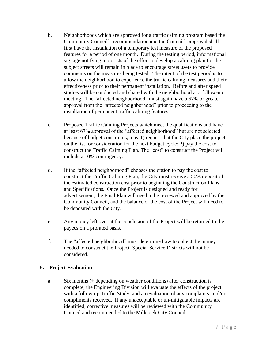- b. Neighborhoods which are approved for a traffic calming program based the Community Council's recommendation and the Council's approval shall first have the installation of a temporary test measure of the proposed features for a period of one month. During the testing period, informational signage notifying motorists of the effort to develop a calming plan for the subject streets will remain in place to encourage street users to provide comments on the measures being tested. The intent of the test period is to allow the neighborhood to experience the traffic calming measures and their effectiveness prior to their permanent installation. Before and after speed studies will be conducted and shared with the neighborhood at a follow-up meeting. The "affected neighborhood" must again have a 67% or greater approval from the "affected neighborhood" prior to proceeding to the installation of permanent traffic calming features.
- c. Proposed Traffic Calming Projects which meet the qualifications and have at least 67% approval of the "affected neighborhood" but are not selected because of budget constraints, may 1) request that the City place the project on the list for consideration for the next budget cycle; 2) pay the cost to construct the Traffic Calming Plan. The "cost" to construct the Project will include a 10% contingency.
- d. If the "affected neighborhood" chooses the option to pay the cost to construct the Traffic Calming Plan, the City must receive a 50% deposit of the estimated construction cost prior to beginning the Construction Plans and Specifications. Once the Project is designed and ready for advertisement, the Final Plan will need to be reviewed and approved by the Community Council, and the balance of the cost of the Project will need to be deposited with the City.
- e. Any money left over at the conclusion of the Project will be returned to the payees on a prorated basis.
- f. The "affected neighborhood" must determine how to collect the money needed to construct the Project. Special Service Districts will not be considered.

#### <span id="page-7-0"></span>**6. Project Evaluation**

a. Six months  $($  depending on weather conditions) after construction is complete, the Engineering Division will evaluate the effects of the project with a follow-up Traffic Study, and an evaluation of any complaints, and/or compliments received. If any unacceptable or un-mitigatable impacts are identified, corrective measures will be reviewed with the Community Council and recommended to the Millcreek City Council.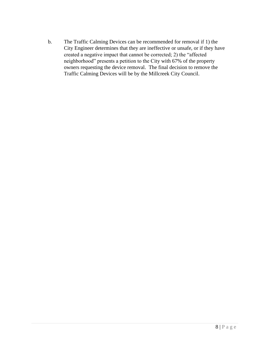<span id="page-8-0"></span>b. The Traffic Calming Devices can be recommended for removal if 1) the City Engineer determines that they are ineffective or unsafe, or if they have created a negative impact that cannot be corrected; 2) the "affected neighborhood" presents a petition to the City with 67% of the property owners requesting the device removal. The final decision to remove the Traffic Calming Devices will be by the Millcreek City Council.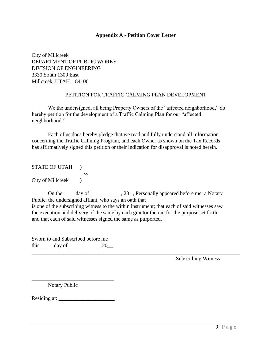#### **Appendix A - Petition Cover Letter**

City of Millcreek DEPARTMENT OF PUBLIC WORKS DIVISION OF ENGINEERING 3330 South 1300 East Millcreek, UTAH 84106

#### PETITION FOR TRAFFIC CALMING PLAN DEVELOPMENT

We the undersigned, all being Property Owners of the "affected neighborhood," do hereby petition for the development of a Traffic Calming Plan for our "affected neighborhood."

Each of us does hereby pledge that we read and fully understand all information concerning the Traffic Calming Program, and each Owner as shown on the Tax Records has affirmatively signed this petition or their indication for disapproval is noted herein.

STATE OF UTAH ) : ss. City of Millcreek )

On the day of  $\frac{20}{1}$ , 20, Personally appeared before me, a Notary Public, the undersigned affiant, who says an oath that is one of the subscribing witness to the within instrument; that each of said witnesses saw the execution and delivery of the same by each grantor therein for the purpose set forth; and that each of said witnesses signed the same as purported.

**\_\_\_\_\_\_\_\_\_\_\_\_\_\_\_\_\_\_\_\_\_\_\_\_\_\_\_\_\_\_\_\_\_\_\_\_\_\_\_\_\_\_\_\_\_\_\_\_\_\_\_\_\_\_\_\_\_\_\_\_\_\_\_\_\_\_\_\_\_\_\_\_\_\_\_\_\_\_**

Sworn to and Subscribed before me this  $\rule{1em}{0.15mm} \dots$  day of  $\rule{1em}{0.15mm}$  , 20\_

**\_\_\_\_\_\_\_\_\_\_\_\_\_\_\_\_\_\_\_\_\_\_\_\_\_\_\_\_\_\_\_** 

Subscribing Witness

Notary Public

Residing at:  $\Box$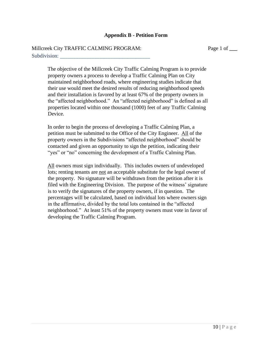#### <span id="page-10-0"></span>**Appendix B - Petition Form**

#### Millcreek City TRAFFIC CALMING PROGRAM: Page 1 of \_\_\_ Subdivision:

The objective of the Millcreek City Traffic Calming Program is to provide property owners a process to develop a Traffic Calming Plan on City maintained neighborhood roads, where engineering studies indicate that their use would meet the desired results of reducing neighborhood speeds and their installation is favored by at least 67% of the property owners in the "affected neighborhood." An "affected neighborhood" is defined as all properties located within one thousand (1000) feet of any Traffic Calming Device.

In order to begin the process of developing a Traffic Calming Plan, a petition must be submitted to the Office of the City Engineer. All of the property owners in the Subdivisions "affected neighborhood" should be contacted and given an opportunity to sign the petition, indicating their "yes" or "no" concerning the development of a Traffic Calming Plan.

All owners must sign individually. This includes owners of undeveloped lots; renting tenants are not an acceptable substitute for the legal owner of the property. No signature will be withdrawn from the petition after it is filed with the Engineering Division. The purpose of the witness' signature is to verify the signatures of the property owners, if in question. The percentages will be calculated, based on individual lots where owners sign in the affirmative, divided by the total lots contained in the "affected neighborhood." At least 51% of the property owners must vote in favor of developing the Traffic Calming Program.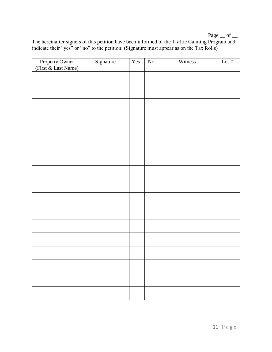Page  $\_\$  of  $\_$ 

The hereinafter signers of this petition have been informed of the Traffic Calming Program and indicate their "yes" or "no" to the petition: (Signature must appear as on the Tax Rolls)

| Property Owner      | Signature | Yes | ${\rm No}$ | Witness | Lot # |
|---------------------|-----------|-----|------------|---------|-------|
| (First & Last Name) |           |     |            |         |       |
|                     |           |     |            |         |       |
|                     |           |     |            |         |       |
|                     |           |     |            |         |       |
|                     |           |     |            |         |       |
|                     |           |     |            |         |       |
|                     |           |     |            |         |       |
|                     |           |     |            |         |       |
|                     |           |     |            |         |       |
|                     |           |     |            |         |       |
|                     |           |     |            |         |       |
|                     |           |     |            |         |       |
|                     |           |     |            |         |       |
|                     |           |     |            |         |       |
|                     |           |     |            |         |       |
|                     |           |     |            |         |       |
|                     |           |     |            |         |       |
|                     |           |     |            |         |       |
|                     |           |     |            |         |       |
|                     |           |     |            |         |       |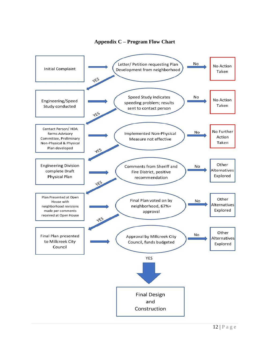

#### **Appendix C – Program Flow Chart**